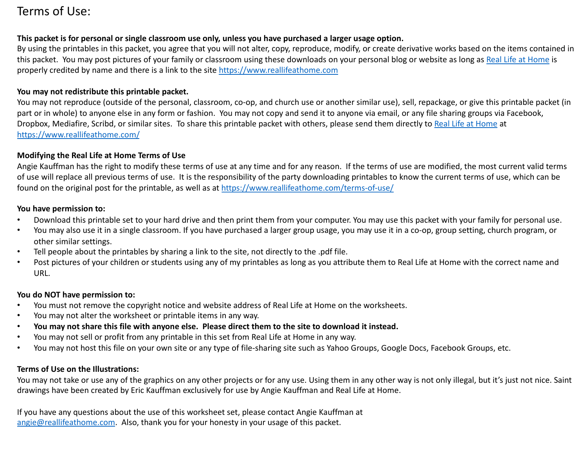# Terms of Use:

# **This packet is for personal or single classroom use only, unless you have purchased a larger usage option.**

By using the printables in this packet, you agree that you will not alter, copy, reproduce, modify, or create derivative works based on the items contained in this packet. You may post pictures of your family or classroom using these downloads on your personal blog or website as long as [Real Life at Home](https://www.reallifeathome.com/) is properly credited by name and there is a link to the site [https://www.reallifeathome.com](https://www.reallifeathome.com/)

### **You may not redistribute this printable packet.**

You may not reproduce (outside of the personal, classroom, co-op, and church use or another similar use), sell, repackage, or give this printable packet (in part or in whole) to anyone else in any form or fashion. You may not copy and send it to anyone via email, or any file sharing groups via Facebook, Dropbox, Mediafire, Scribd, or similar sites. To share this printable packet with others, please send them directly to [Real Life at Home](https://www.reallifeathome.com/) at <https://www.reallifeathome.com/>

## **Modifying the Real Life at Home Terms of Use**

Angie Kauffman has the right to modify these terms of use at any time and for any reason. If the terms of use are modified, the most current valid terms of use will replace all previous terms of use. It is the responsibility of the party downloading printables to know the current terms of use, which can be found on the original post for the printable, as well as at <https://www.reallifeathome.com/terms-of-use/>

#### **You have permission to:**

- Download this printable set to your hard drive and then print them from your computer. You may use this packet with your family for personal use.
- You may also use it in a single classroom. If you have purchased a larger group usage, you may use it in a co-op, group setting, church program, or other similar settings.
- Tell people about the printables by sharing a link to the site, not directly to the .pdf file.
- Post pictures of your children or students using any of my printables as long as you attribute them to Real Life at Home with the correct name and URL.

#### **You do NOT have permission to:**

- You must not remove the copyright notice and website address of Real Life at Home on the worksheets.
- You may not alter the worksheet or printable items in any way.
- **You may not share this file with anyone else. Please direct them to the site to download it instead.**
- You may not sell or profit from any printable in this set from Real Life at Home in any way.
- You may not host this file on your own site or any type of file-sharing site such as Yahoo Groups, Google Docs, Facebook Groups, etc.

# **Terms of Use on the Illustrations:**

You may not take or use any of the graphics on any other projects or for any use. Using them in any other way is not only illegal, but it's just not nice. Saint drawings have been created by Eric Kauffman exclusively for use by Angie Kauffman and Real Life at Home.

If you have any questions about the use of this worksheet set, please contact Angie Kauffman at [angie@reallifeathome.com](mailto:angie@reallifeathome.com). Also, thank you for your honesty in your usage of this packet.